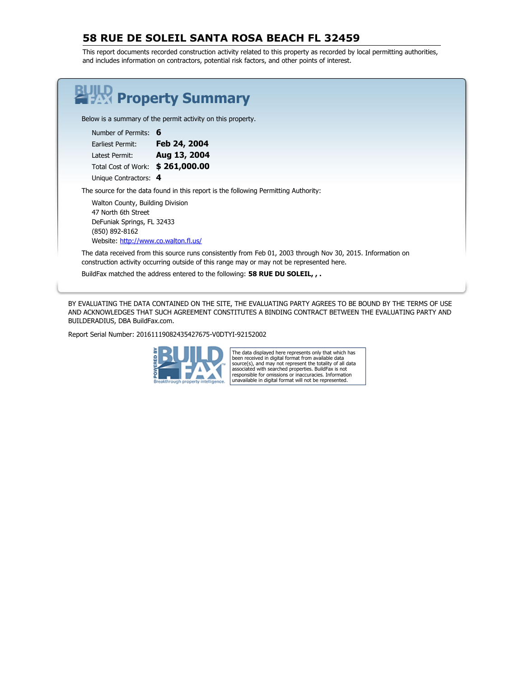### **58 RUE DE SOLEIL SANTA ROSA BEACH FL 32459**

This report documents recorded construction activity related to this property as recorded by local permitting authorities, and includes information on contractors, potential risk factors, and other points of interest.

| <b>FAX Property Summary</b>                                                                                                                                                                              |
|----------------------------------------------------------------------------------------------------------------------------------------------------------------------------------------------------------|
| Below is a summary of the permit activity on this property.                                                                                                                                              |
| Number of Permits: 6                                                                                                                                                                                     |
| Feb 24, 2004<br>Earliest Permit:                                                                                                                                                                         |
| Latest Permit: <b>Aug 13, 2004</b>                                                                                                                                                                       |
| Total Cost of Work: \$261,000.00                                                                                                                                                                         |
| Unique Contractors: 4                                                                                                                                                                                    |
| The source for the data found in this report is the following Permitting Authority:                                                                                                                      |
| Walton County, Building Division<br>47 North 6th Street<br>DeFuniak Springs, FL 32433<br>(850) 892-8162<br>Website: http://www.co.walton.fl.us/                                                          |
| The data received from this source runs consistently from Feb 01, 2003 through Nov 30, 2015. Information on<br>construction activity occurring outside of this range may or may not be represented here. |
| BuildFax matched the address entered to the following: 58 RUE DU SOLEIL, $\overline{\phantom{a}}$ .                                                                                                      |

BY EVALUATING THE DATA CONTAINED ON THE SITE, THE EVALUATING PARTY AGREES TO BE BOUND BY THE TERMS OF USE AND ACKNOWLEDGES THAT SUCH AGREEMENT CONSTITUTES A BINDING CONTRACT BETWEEN THE EVALUATING PARTY AND BUILDERADIUS, DBA BuildFax.com.

Report Serial Number: 20161119082435427675-V0DTYI-92152002



The data displayed here represents only that which has been received in digital format from available data<br>source(s), and may not represent the totality of all data<br>associated with searched properties. BuildFax is not<br>responsible for omissions or inaccuracies. Information<br>unav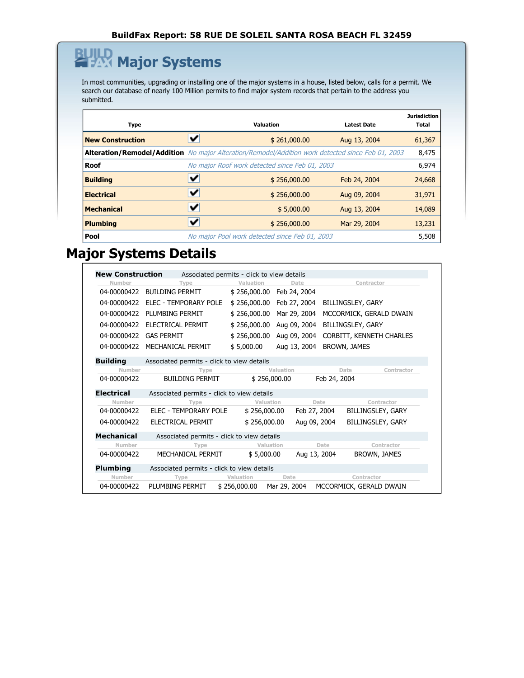### **Major Systems** <u>r</u>

In most communities, upgrading or installing one of the major systems in a house, listed below, calls for a permit. We search our database of nearly 100 Million permits to find major system records that pertain to the address you submitted.

| <b>Type</b>                                                                                              | <b>Valuation</b>                               | <b>Latest Date</b> | <b>Jurisdiction</b><br>Total |
|----------------------------------------------------------------------------------------------------------|------------------------------------------------|--------------------|------------------------------|
| <b>New Construction</b>                                                                                  | \$261,000.00                                   | Aug 13, 2004       | 61,367                       |
| <b>Alteration/Remodel/Addition</b> No major Alteration/Remodel/Addition work detected since Feb 01, 2003 |                                                |                    | 8,475                        |
| <b>Roof</b>                                                                                              | No major Roof work detected since Feb 01, 2003 |                    | 6,974                        |
| <b>Building</b>                                                                                          | \$256,000.00                                   | Feb 24, 2004       | 24,668                       |
| <b>Electrical</b>                                                                                        | \$256,000.00                                   | Aug 09, 2004       | 31,971                       |
| <b>Mechanical</b>                                                                                        | \$5,000.00                                     | Aug 13, 2004       | 14,089                       |
| <b>Plumbing</b>                                                                                          | \$256,000.00                                   | Mar 29, 2004       | 13,231                       |
| Pool                                                                                                     | No major Pool work detected since Feb 01, 2003 |                    | 5,508                        |

## **Major Systems Details**

| <b>New Construction</b><br>Associated permits - click to view details |                                            |              |              |                          |                   |
|-----------------------------------------------------------------------|--------------------------------------------|--------------|--------------|--------------------------|-------------------|
| Number                                                                | Type                                       | Valuation    | Date         | Contractor               |                   |
| 04-00000422                                                           | <b>BUILDING PERMIT</b>                     | \$256,000.00 | Feb 24, 2004 |                          |                   |
| 04-00000422                                                           | ELEC - TEMPORARY POLE                      | \$256,000.00 | Feb 27, 2004 | BILLINGSLEY, GARY        |                   |
| 04-00000422                                                           | PI UMBING PERMIT                           | \$256,000.00 | Mar 29, 2004 | MCCORMICK, GERALD DWAIN  |                   |
| 04-00000422                                                           | ELECTRICAL PERMIT                          | \$256,000.00 | Aug 09, 2004 | BILLINGSLEY, GARY        |                   |
| 04-00000422                                                           | <b>GAS PERMIT</b>                          | \$256,000.00 | Aug 09, 2004 | CORBITT, KENNETH CHARLES |                   |
| 04-00000422                                                           | MECHANICAL PERMIT                          | \$5,000.00   | Aug 13, 2004 | BROWN, JAMES             |                   |
| <b>Building</b>                                                       | Associated permits - click to view details |              |              |                          |                   |
| Number                                                                | Type                                       |              | Valuation    | Date                     | Contractor        |
| 04-00000422                                                           | <b>BUILDING PERMIT</b>                     | \$256,000.00 |              | Feb 24, 2004             |                   |
| <b>Electrical</b>                                                     | Associated permits - click to view details |              |              |                          |                   |
| Number                                                                | Type                                       | Valuation    | Date         |                          | Contractor        |
| 04-00000422                                                           | ELEC - TEMPORARY POLE                      | \$256,000.00 | Feb 27, 2004 |                          | BILLINGSLEY, GARY |
| 04-00000422                                                           | ELECTRICAL PERMIT                          | \$256,000.00 | Aug 09, 2004 |                          | BILLINGSLEY, GARY |
| <b>Mechanical</b>                                                     | Associated permits - click to view details |              |              |                          |                   |
| Number                                                                | Type                                       | Valuation    |              | Date                     | Contractor        |
| 04-00000422                                                           | MECHANICAL PERMIT                          | \$5,000.00   | Aug 13, 2004 |                          | BROWN, JAMES      |
|                                                                       | Associated permits - click to view details |              |              |                          |                   |
| <b>Plumbing</b>                                                       |                                            |              |              |                          |                   |
| Number                                                                | Type                                       | Valuation    | Date         | Contractor               |                   |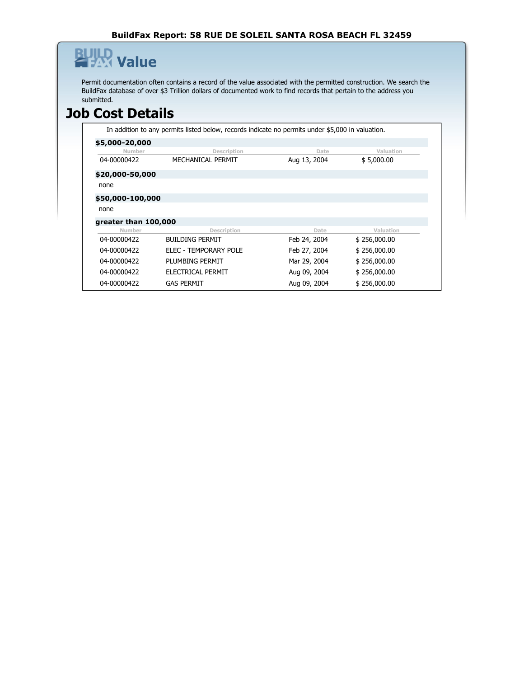#### **BuildFax Report: 58 RUE DE SOLEIL SANTA ROSA BEACH FL 32459**

## **Value** β

Permit documentation often contains a record of the value associated with the permitted construction. We search the BuildFax database of over \$3 Trillion dollars of documented work to find records that pertain to the address you submitted.

## **Job Cost Details**

In addition to any permits listed below, records indicate no permits under \$5,000 in valuation.

| \$5,000-20,000       |                        |              |              |
|----------------------|------------------------|--------------|--------------|
| Number               | Description            | Date         | Valuation    |
| 04-00000422          | MECHANICAL PERMIT      | Aug 13, 2004 | \$5,000.00   |
| \$20,000-50,000      |                        |              |              |
| none                 |                        |              |              |
| \$50,000-100,000     |                        |              |              |
| none                 |                        |              |              |
| greater than 100,000 |                        |              |              |
| Number               | Description            | Date         | Valuation    |
| 04-00000422          | <b>BUILDING PERMIT</b> | Feb 24, 2004 | \$256,000.00 |
| 04-00000422          | ELEC - TEMPORARY POLE  | Feb 27, 2004 | \$256,000.00 |
| 04-00000422          | PLUMBING PERMIT        | Mar 29, 2004 | \$256,000.00 |
| 04-00000422          | ELECTRICAL PERMIT      | Aug 09, 2004 | \$256,000.00 |
| 04-00000422          | <b>GAS PERMIT</b>      | Aug 09, 2004 | \$256,000.00 |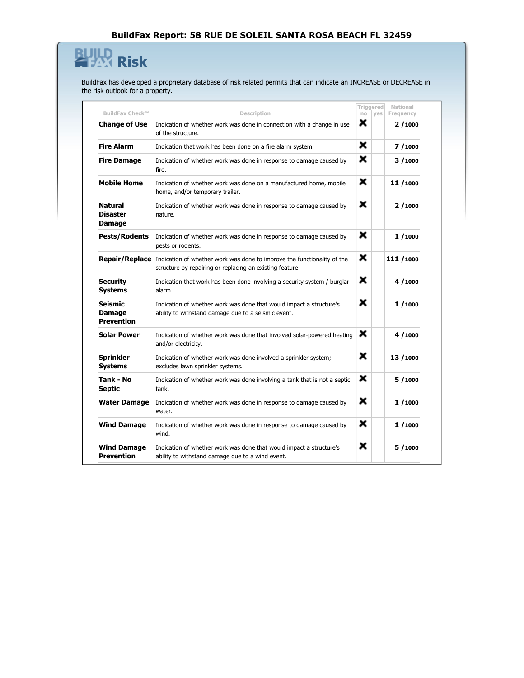### **HAR** Risk  $\mathbf{B}% _{T}=\mathbf{A}_{T}\times\mathbf{B}_{T}$

BuildFax has developed a proprietary database of risk related permits that can indicate an INCREASE or DECREASE in the risk outlook for a property.

|                                                      |                                                                                                                                                           |    | Triggered | National   |
|------------------------------------------------------|-----------------------------------------------------------------------------------------------------------------------------------------------------------|----|-----------|------------|
| <b>BuildFax Check™</b>                               | Description                                                                                                                                               | no | yes       | Frequency  |
| <b>Change of Use</b>                                 | Indication of whether work was done in connection with a change in use<br>of the structure.                                                               | x  |           | 2/1000     |
| <b>Fire Alarm</b>                                    | Indication that work has been done on a fire alarm system.                                                                                                | ×  |           | 7/1000     |
| <b>Fire Damage</b>                                   | Indication of whether work was done in response to damage caused by<br>fire.                                                                              | ×  |           | 3/1000     |
| <b>Mobile Home</b>                                   | Indication of whether work was done on a manufactured home, mobile<br>home, and/or temporary trailer.                                                     | ×  |           | 11/1000    |
| <b>Natural</b><br><b>Disaster</b><br>Damage          | Indication of whether work was done in response to damage caused by<br>nature.                                                                            | ×  |           | 2/1000     |
| <b>Pests/Rodents</b>                                 | Indication of whether work was done in response to damage caused by<br>pests or rodents.                                                                  | ×  |           | 1/1000     |
|                                                      | <b>Repair/Replace</b> Indication of whether work was done to improve the functionality of the<br>structure by repairing or replacing an existing feature. | ×  |           | 111 / 1000 |
| <b>Security</b><br><b>Systems</b>                    | Indication that work has been done involving a security system / burglar<br>alarm.                                                                        | ×  |           | 4/1000     |
| <b>Seismic</b><br><b>Damage</b><br><b>Prevention</b> | Indication of whether work was done that would impact a structure's<br>ability to withstand damage due to a seismic event.                                | ×  |           | 1/1000     |
| <b>Solar Power</b>                                   | Indication of whether work was done that involved solar-powered heating<br>and/or electricity.                                                            | ×  |           | 4/1000     |
| <b>Sprinkler</b><br><b>Systems</b>                   | Indication of whether work was done involved a sprinkler system;<br>excludes lawn sprinkler systems.                                                      | ×  |           | 13 / 1000  |
| Tank - No<br><b>Septic</b>                           | Indication of whether work was done involving a tank that is not a septic<br>tank.                                                                        | ×  |           | 5/1000     |
| <b>Water Damage</b>                                  | Indication of whether work was done in response to damage caused by<br>water.                                                                             | ×  |           | 1/1000     |
| <b>Wind Damage</b>                                   | Indication of whether work was done in response to damage caused by<br>wind.                                                                              | ×  |           | 1/1000     |
| <b>Wind Damage</b><br><b>Prevention</b>              | Indication of whether work was done that would impact a structure's<br>ability to withstand damage due to a wind event.                                   | ×  |           | 5/1000     |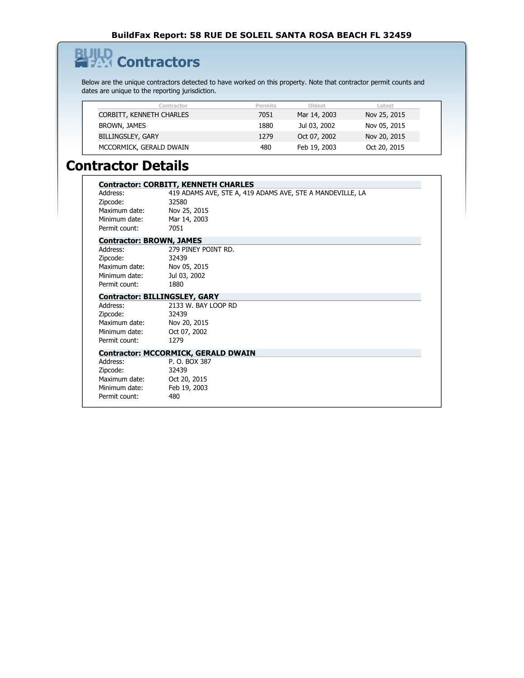# **Contractors**

旦

Below are the unique contractors detected to have worked on this property. Note that contractor permit counts and dates are unique to the reporting jurisdiction.

| Contractor               | <b>Permits</b> | Oldest       | Latest       |
|--------------------------|----------------|--------------|--------------|
| CORBITT, KENNETH CHARLES | 7051           | Mar 14, 2003 | Nov 25, 2015 |
| BROWN, JAMES             | 1880           | Jul 03, 2002 | Nov 05, 2015 |
| <b>BILLINGSLEY, GARY</b> | 1279           | Oct 07, 2002 | Nov 20, 2015 |
| MCCORMICK, GERALD DWAIN  | 480            | Feb 19, 2003 | Oct 20, 2015 |

## **Contractor Details**

|                                 | <b>Contractor: CORBITT, KENNETH CHARLES</b>               |
|---------------------------------|-----------------------------------------------------------|
| Address:                        | 419 ADAMS AVE, STE A, 419 ADAMS AVE, STE A MANDEVILLE, LA |
| Zipcode:                        | 32580                                                     |
| Maximum date:                   | Nov 25, 2015                                              |
| Minimum date:                   | Mar 14, 2003                                              |
| Permit count:                   | 7051                                                      |
| <b>Contractor: BROWN, JAMES</b> |                                                           |
| Address:                        | 279 PINEY POINT RD.                                       |
| Zipcode:                        | 32439                                                     |
| Maximum date:                   | Nov 05, 2015                                              |
| Minimum date:                   | Jul 03, 2002                                              |
| Permit count:                   | 1880                                                      |
|                                 | <b>Contractor: BILLINGSLEY, GARY</b>                      |
| Address:                        | 2133 W. BAY LOOP RD                                       |
| Zipcode:                        | 32439                                                     |
| Maximum date:                   | Nov 20, 2015                                              |
| Minimum date:                   | Oct 07, 2002                                              |
| Permit count:                   | 1279                                                      |
|                                 | <b>Contractor: MCCORMICK, GERALD DWAIN</b>                |
| Address:                        | P. O. BOX 387                                             |
| Zipcode:                        | 32439                                                     |
| Maximum date:                   | Oct 20, 2015                                              |
| Minimum date:                   | Feb 19, 2003                                              |
| Permit count:                   | 480                                                       |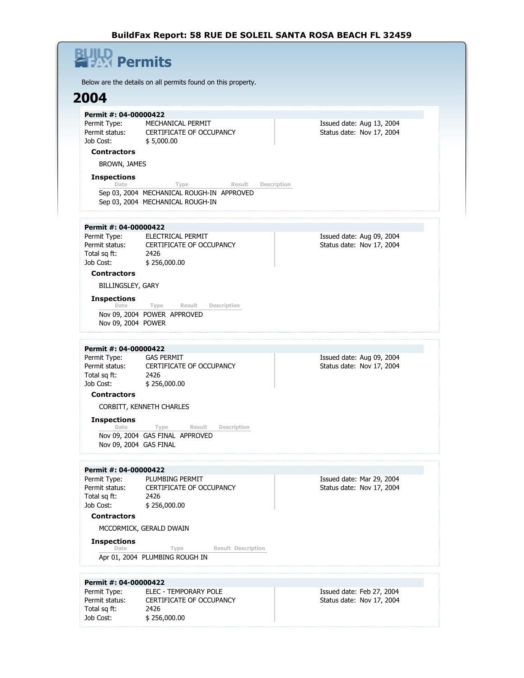### **Permits** Below are the details on all permits found on this property. **2004 Permit #: 04-00000422** Permit Type: MECHANICAL PERMIT Permit status: CERTIFICATE OF OCCUPANCY Job Cost: \$ 5,000.00 Issued date: Aug 13, 2004 Status date: Nov 17, 2004 **Contractors** BROWN, JAMES **Inspections Date Type Result Description** Sep 03, 2004 MECHANICAL ROUGH-IN APPROVED Sep 03, 2004 MECHANICAL ROUGH-IN **Permit #: 04-00000422** Permit Type: ELECTRICAL PERMIT Permit status: CERTIFICATE OF OCCUPANCY Total sq ft: 2426 Job Cost: \$ 256,000.00 Issued date: Aug 09, 2004 Status date: Nov 17, 2004 **Contractors** BILLINGSLEY, GARY **Inspections Date Type Result Description** Nov 09, 2004 POWER APPROVED Nov 09, 2004 POWER **Permit #: 04-00000422** Permit Type: GAS PERMIT Permit status: CERTIFICATE OF OCCUPANCY Total sq ft: 2426 Job Cost: \$ 256,000.00 Issued date: Aug 09, 2004 Status date: Nov 17, 2004 **Contractors** CORBITT, KENNETH CHARLES **Inspections Date Type Result Description** Nov 09, 2004 GAS FINAL APPROVED Nov 09, 2004 GAS FINAL **Permit #: 04-00000422** Permit Type: PLUMBING PERMIT Permit status: CERTIFICATE OF OCCUPANCY<br>Total sq ft: 2426 Total sq ft: Job Cost: \$ 256,000.00 Issued date: Mar 29, 2004 Status date: Nov 17, 2004 **Contractors** MCCORMICK, GERALD DWAIN **Inspections Date Type Result Description** Apr 01, 2004 PLUMBING ROUGH IN **Permit #: 04-00000422** Permit Type: ELEC - TEMPORARY POLE Issued date: Feb 27, 2004

Permit status: CERTIFICATE OF OCCUPANCY

Total sq ft: 2426 Job Cost: \$ 256,000.00 Status date: Nov 17, 2004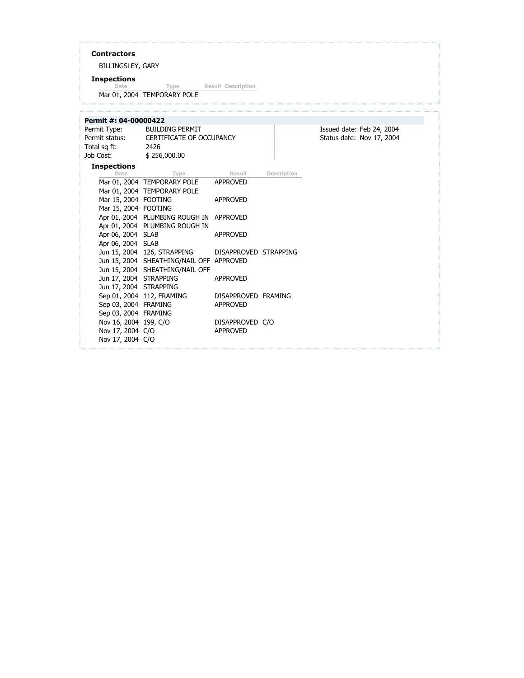### **Contractors**

BILLINGSLEY, GARY

**Inspections Date Type Result Description**

Mar 01, 2004 TEMPORARY POLE

| Permit #: 04-00000422                                         |                                                                                                            |                                        |                    |                                                        |
|---------------------------------------------------------------|------------------------------------------------------------------------------------------------------------|----------------------------------------|--------------------|--------------------------------------------------------|
| Permit Type:<br>Total sq ft:<br>Job Cost:                     | <b>BUILDING PERMIT</b><br>Permit status: CERTIFICATE OF OCCUPANCY<br>2426<br>\$256,000.00                  |                                        |                    | Issued date: Feb 24, 2004<br>Status date: Nov 17, 2004 |
| <b>Inspections</b><br>Date                                    | Type                                                                                                       | <b>Result</b>                          | <b>Description</b> |                                                        |
|                                                               | Mar 01, 2004 TEMPORARY POLE<br>Mar 01, 2004 TEMPORARY POLE                                                 | APPROVED                               |                    |                                                        |
| Mar 15, 2004 FOOTING<br>Mar 15, 2004 FOOTING                  |                                                                                                            | APPROVED                               |                    |                                                        |
|                                                               | Apr 01, 2004 PLUMBING ROUGH IN APPROVED<br>Apr 01, 2004 PLUMBING ROUGH IN                                  |                                        |                    |                                                        |
| Apr 06, 2004 SLAB<br>Apr 06, 2004 SLAB                        |                                                                                                            | <b>APPROVED</b>                        |                    |                                                        |
|                                                               | Jun 15, 2004 126, STRAPPING<br>Jun 15, 2004 SHEATHING/NAIL OFF APPROVED<br>Jun 15, 2004 SHEATHING/NAIL OFF | DISAPPROVED STRAPPING                  |                    |                                                        |
| Jun 17, 2004 STRAPPING<br>Jun 17, 2004 STRAPPING              |                                                                                                            | <b>APPROVED</b>                        |                    |                                                        |
| Sep 03, 2004 FRAMING<br>Sep 03, 2004 FRAMING                  | Sep 01, 2004 112, FRAMING                                                                                  | DISAPPROVED FRAMING<br><b>APPROVED</b> |                    |                                                        |
| Nov 16, 2004 199, C/O<br>Nov 17, 2004 C/O<br>Nov 17, 2004 C/O |                                                                                                            | DISAPPROVED C/O<br>APPROVED            |                    |                                                        |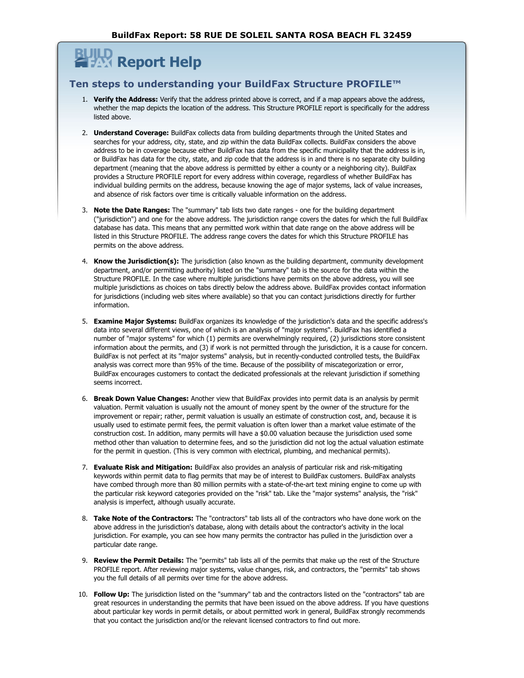## **Report Help**

### **Ten steps to understanding your BuildFax Structure PROFILE™**

- 1. **Verify the Address:** Verify that the address printed above is correct, and if a map appears above the address, whether the map depicts the location of the address. This Structure PROFILE report is specifically for the address listed above.
- 2. **Understand Coverage:** BuildFax collects data from building departments through the United States and searches for your address, city, state, and zip within the data BuildFax collects. BuildFax considers the above address to be in coverage because either BuildFax has data from the specific municipality that the address is in, or BuildFax has data for the city, state, and zip code that the address is in and there is no separate city building department (meaning that the above address is permitted by either a county or a neighboring city). BuildFax provides a Structure PROFILE report for every address within coverage, regardless of whether BuildFax has individual building permits on the address, because knowing the age of major systems, lack of value increases, and absence of risk factors over time is critically valuable information on the address.
- 3. **Note the Date Ranges:** The "summary" tab lists two date ranges one for the building department ("jurisdiction") and one for the above address. The jurisdiction range covers the dates for which the full BuildFax database has data. This means that any permitted work within that date range on the above address will be listed in this Structure PROFILE. The address range covers the dates for which this Structure PROFILE has permits on the above address.
- 4. **Know the Jurisdiction(s):** The jurisdiction (also known as the building department, community development department, and/or permitting authority) listed on the "summary" tab is the source for the data within the Structure PROFILE. In the case where multiple jurisdictions have permits on the above address, you will see multiple jurisdictions as choices on tabs directly below the address above. BuildFax provides contact information for jurisdictions (including web sites where available) so that you can contact jurisdictions directly for further information.
- 5. **Examine Major Systems:** BuildFax organizes its knowledge of the jurisdiction's data and the specific address's data into several different views, one of which is an analysis of "major systems". BuildFax has identified a number of "major systems" for which (1) permits are overwhelmingly required, (2) jurisdictions store consistent information about the permits, and (3) if work is not permitted through the jurisdiction, it is a cause for concern. BuildFax is not perfect at its "major systems" analysis, but in recently-conducted controlled tests, the BuildFax analysis was correct more than 95% of the time. Because of the possibility of miscategorization or error, BuildFax encourages customers to contact the dedicated professionals at the relevant jurisdiction if something seems incorrect.
- 6. **Break Down Value Changes:** Another view that BuildFax provides into permit data is an analysis by permit valuation. Permit valuation is usually not the amount of money spent by the owner of the structure for the improvement or repair; rather, permit valuation is usually an estimate of construction cost, and, because it is usually used to estimate permit fees, the permit valuation is often lower than a market value estimate of the construction cost. In addition, many permits will have a \$0.00 valuation because the jurisdiction used some method other than valuation to determine fees, and so the jurisdiction did not log the actual valuation estimate for the permit in question. (This is very common with electrical, plumbing, and mechanical permits).
- 7. **Evaluate Risk and Mitigation:** BuildFax also provides an analysis of particular risk and risk-mitigating keywords within permit data to flag permits that may be of interest to BuildFax customers. BuildFax analysts have combed through more than 80 million permits with a state-of-the-art text mining engine to come up with the particular risk keyword categories provided on the "risk" tab. Like the "major systems" analysis, the "risk" analysis is imperfect, although usually accurate.
- 8. **Take Note of the Contractors:** The "contractors" tab lists all of the contractors who have done work on the above address in the jurisdiction's database, along with details about the contractor's activity in the local jurisdiction. For example, you can see how many permits the contractor has pulled in the jurisdiction over a particular date range.
- 9. **Review the Permit Details:** The "permits" tab lists all of the permits that make up the rest of the Structure PROFILE report. After reviewing major systems, value changes, risk, and contractors, the "permits" tab shows you the full details of all permits over time for the above address.
- 10. **Follow Up:** The jurisdiction listed on the "summary" tab and the contractors listed on the "contractors" tab are great resources in understanding the permits that have been issued on the above address. If you have questions about particular key words in permit details, or about permitted work in general, BuildFax strongly recommends that you contact the jurisdiction and/or the relevant licensed contractors to find out more.